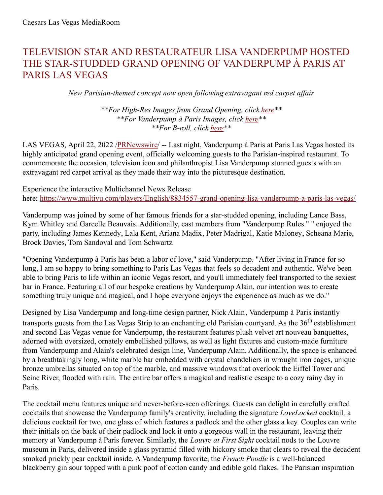## TELEVISION STAR AND RESTAURATEUR LISA VANDERPUMP HOSTED THE STAR-STUDDED GRAND OPENING OF VANDERPUMP À PARIS AT PARIS LAS VEGAS

*New Parisian-themed concept now open following extravagant red carpet af air*

*\*\*For High-Res Images from Grand Opening, click [here](https://c212.net/c/link/?t=0&l=en&o=3512655-1&h=2310425139&u=https%3A%2F%2Fwww.dropbox.com%2Fsh%2Fpyj62p7nr08ahrk%2FAADYiGF3msnWU6OZ53YWg7J9a%3Fdl%3D0&a=here)\*\* \*\*For Vanderpump à Paris Images, click [here](https://c212.net/c/link/?t=0&l=en&o=3512655-1&h=660897256&u=https%3A%2F%2Fwww.dropbox.com%2Fsh%2Fsvntf65vh1gr0xs%2FAAA2SKA2Y1yQl3RbA1o5Qwdka%3Fdl%3D0&a=here)\*\* \*\*For B-roll, click [here](https://c212.net/c/link/?t=0&l=en&o=3512655-1&h=2563612130&u=https%3A%2F%2Fwww.dropbox.com%2Fsh%2F5xpoznuyureiphr%2FAAB18wCMq43xMzcQFbu4yOB4a%3Fdl%3D0&a=here)\*\**

LAS VEGAS, April 22, 2022 [/PRNewswire](http://www.prnewswire.com/)/ -- Last night, Vanderpump à Paris at Paris Las Vegas hosted its highly anticipated grand opening event, officially welcoming guests to the Parisian-inspired restaurant. To commemorate the occasion, television icon and philanthropist Lisa Vanderpump stunned guests with an extravagant red carpet arrival as they made their way into the picturesque destination.

Experience the interactive Multichannel News Release here: [https://www.multivu.com/players/English/8834557-grand-opening-lisa-vanderpump-a-paris-las-vegas/](https://c212.net/c/link/?t=0&l=en&o=3512655-1&h=592906850&u=https%3A%2F%2Fwww.multivu.com%2Fplayers%2FEnglish%2F8834557-grand-opening-lisa-vanderpump-a-paris-las-vegas%2F&a=https%3A%2F%2Fwww.multivu.com%2Fplayers%2FEnglish%2F8834557-grand-opening-lisa-vanderpump-a-paris-las-vegas%2F)

Vanderpump was joined by some of her famous friends for a star-studded opening, including Lance Bass, Kym Whitley and Garcelle Beauvais. Additionally, cast members from "Vanderpump Rules." " enjoyed the party, including James Kennedy, Lala Kent, Ariana Madix, Peter Madrigal, Katie Maloney, Scheana Marie, Brock Davies, Tom Sandoval and Tom Schwartz.

"Opening Vanderpump à Paris has been a labor of love," said Vanderpump. "After living in France for so long, I am so happy to bring something to Paris Las Vegas that feels so decadent and authentic. We've been able to bring Paris to life within an iconic Vegas resort, and you'll immediately feel transported to the sexiest bar in France. Featuring all of our bespoke creations by Vanderpump Alain, our intention was to create something truly unique and magical, and I hope everyone enjoys the experience as much as we do."

Designed by Lisa Vanderpump and long-time design partner, Nick Alain, Vanderpump à Paris instantly transports guests from the Las Vegas Strip to an enchanting old Parisian courtyard. As the 36<sup>th</sup> establishment and second Las Vegas venue for Vanderpump, the restaurant features plush velvet art nouveau banquettes, adorned with oversized, ornately embellished pillows, as well as light fixtures and custom-made furniture from Vanderpump and Alain's celebrated design line, Vanderpump Alain. Additionally, the space is enhanced by a breathtakingly long, white marble bar embedded with crystal chandeliers in wrought iron cages, unique bronze umbrellas situated on top of the marble, and massive windows that overlook the Eiffel Tower and Seine River, flooded with rain. The entire bar offers a magical and realistic escape to a cozy rainy day in Paris.

The cocktail menu features unique and never-before-seen offerings. Guests can delight in carefully crafted cocktails that showcase the Vanderpump family's creativity, including the signature *LoveLocked* cocktail*,* a delicious cocktail for two, one glass of which features a padlock and the other glass a key. Couples can write their initials on the back of their padlock and lock it onto a gorgeous wall in the restaurant, leaving their memory at Vanderpump à Paris forever. Similarly, the *Louvre at First Sight* cocktail nods to the Louvre museum in Paris, delivered inside a glass pyramid filled with hickory smoke that clears to reveal the decadent smoked prickly pear cocktail inside. A Vanderpump favorite, the *French Poodle* is a well-balanced blackberry gin sour topped with a pink poof of cotton candy and edible gold flakes. The Parisian inspiration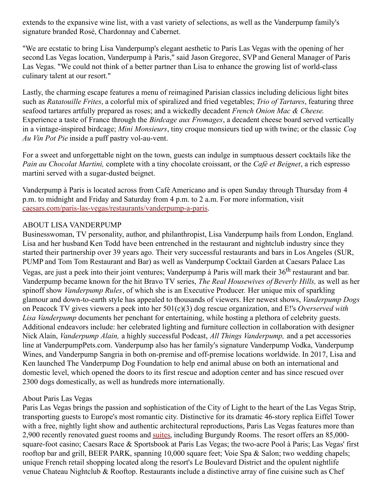extends to the expansive wine list, with a vast variety of selections, as well as the Vanderpump family's signature branded Rosé, Chardonnay and Cabernet.

"We are ecstatic to bring Lisa Vanderpump's elegant aesthetic to Paris Las Vegas with the opening of her second Las Vegas location, Vanderpump à Paris," said Jason Gregorec, SVP and General Manager of Paris Las Vegas. "We could not think of a better partner than Lisa to enhance the growing list of world-class culinary talent at our resort."

Lastly, the charming escape features a menu of reimagined Parisian classics including delicious light bites such as *Ratatouille Frites*, a colorful mix of spiralized and fried vegetables; *Trio of Tartares*, featuring three seafood tartares artfully prepared as roses; and a wickedly decadent *French Onion Mac & Cheese*. Experience a taste of France through the *Birdcage aux Fromages*, a decadent cheese board served vertically in a vintage-inspired birdcage; *Mini Monsieurs*, tiny croque monsieurs tied up with twine; or the classic *Coq Au Vin Pot Pie* inside a puff pastry vol-au-vent.

For a sweet and unforgettable night on the town, guests can indulge in sumptuous dessert cocktails like the *Pain au Chocolat Martini,* complete with a tiny chocolate croissant, or the *Café et Beignet*, a rich espresso martini served with a sugar-dusted beignet.

Vanderpump à Paris is located across from Café Americano and is open Sunday through Thursday from 4 p.m. to midnight and Friday and Saturday from 4 p.m. to 2 a.m. For more information, visit [caesars.com/paris-las-vegas/restaurants/vanderpump-a-paris.](https://c212.net/c/link/?t=0&l=en&o=3512655-1&h=2444458254&u=https%3A%2F%2Fwww.caesars.com%2Fparis-las-vegas%2Frestaurants%2Fvanderpump-a-paris&a=caesars.com%2Fparis-las-vegas%2Frestaurants%2Fvanderpump-a-paris)

## ABOUT LISA VANDERPUMP

Businesswoman, TV personality, author, and philanthropist, Lisa Vanderpump hails from London, England. Lisa and her husband Ken Todd have been entrenched in the restaurant and nightclub industry since they started their partnership over 39 years ago. Their very successful restaurants and bars in Los Angeles (SUR, PUMP and Tom Tom Restaurant and Bar) as well as Vanderpump Cocktail Garden at Caesars Palace Las Vegas, are just a peek into their joint ventures; Vanderpump à Paris will mark their 36<sup>th</sup> restaurant and bar. Vanderpump became known for the hit Bravo TV series, *The Real Housewives of Beverly Hills,* as well as her spinoff show *Vanderpump Rules*, of which she is an Executive Producer*.* Her unique mix of sparkling glamour and down-to-earth style has appealed to thousands of viewers. Her newest shows, *Vanderpump Dogs* on Peacock TV gives viewers a peek into her 501(c)(3) dog rescue organization, and E!'s *Overserved with Lisa Vanderpump* documents her penchant for entertaining, while hosting a plethora of celebrity guests. Additional endeavors include: her celebrated lighting and furniture collection in collaboration with designer Nick Alain, *Vanderpump Alain,* a highly successful Podcast, *All Things Vanderpump,* and a pet accessories line at VanderpumpPets.com. Vanderpump also has her family's signature Vanderpump Vodka, Vanderpump Wines, and Vanderpump Sangria in both on-premise and off-premise locations worldwide. In 2017, Lisa and Ken launched The Vanderpump Dog Foundation to help end animal abuse on both an international and domestic level, which opened the doors to its first rescue and adoption center and has since rescued over 2300 dogs domestically, as well as hundreds more internationally.

## About Paris Las Vegas

Paris Las Vegas brings the passion and sophistication of the City of Light to the heart of the Las Vegas Strip, transporting guests to Europe's most romantic city. Distinctive for its dramatic 46-story replica Eiffel Tower with a free, nightly light show and authentic architectural reproductions, Paris Las Vegas features more than 2,900 recently renovated guest rooms and [suites](https://c212.net/c/link/?t=0&l=en&o=3512655-1&h=3462879104&u=https%3A%2F%2Fwww.caesars.com%2Flas-vegas%2Fsuites&a=suites), including Burgundy Rooms. The resort offers an 85,000 square-foot casino; Caesars Race & Sportsbook at Paris Las Vegas; the two-acre Pool à Paris; Las Vegas' first rooftop bar and grill, BEER PARK, spanning 10,000 square feet; Voie Spa & Salon; two wedding chapels; unique French retail shopping located along the resort's Le Boulevard District and the opulent nightlife venue Chateau Nightclub & Rooftop. Restaurants include a distinctive array of fine cuisine such as Chef